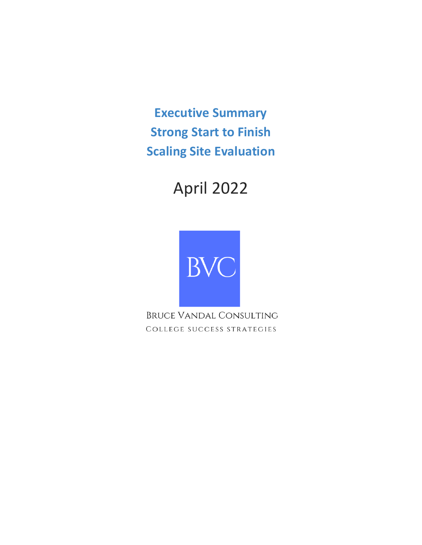**Executive Summary Strong Start to Finish Scaling Site Evaluation**

# April 2022



**BRUCE VANDAL CONSULTING** COLLEGE SUCCESS STRATEGIES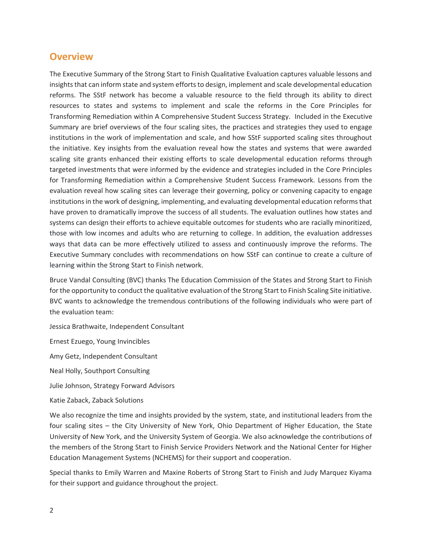## **Overview**

The Executive Summary of the Strong Start to Finish Qualitative Evaluation captures valuable lessons and insights that can inform state and system efforts to design, implement and scale developmental education reforms. The SStF network has become a valuable resource to the field through its ability to direct resources to states and systems to implement and scale the reforms in the Core Principles for Transforming Remediation within A Comprehensive Student Success Strategy. Included in the Executive Summary are brief overviews of the four scaling sites, the practices and strategies they used to engage institutions in the work of implementation and scale, and how SStF supported scaling sites throughout the initiative. Key insights from the evaluation reveal how the states and systems that were awarded scaling site grants enhanced their existing efforts to scale developmental education reforms through targeted investments that were informed by the evidence and strategies included in the Core Principles for Transforming Remediation within a Comprehensive Student Success Framework. Lessons from the evaluation reveal how scaling sites can leverage their governing, policy or convening capacity to engage institutions in the work of designing, implementing, and evaluating developmental education reforms that have proven to dramatically improve the success of all students. The evaluation outlines how states and systems can design their efforts to achieve equitable outcomes for students who are racially minoritized, those with low incomes and adults who are returning to college. In addition, the evaluation addresses ways that data can be more effectively utilized to assess and continuously improve the reforms. The Executive Summary concludes with recommendations on how SStF can continue to create a culture of learning within the Strong Start to Finish network.

Bruce Vandal Consulting (BVC) thanks The Education Commission of the States and Strong Start to Finish for the opportunity to conduct the qualitative evaluation of the Strong Start to Finish Scaling Site initiative. BVC wants to acknowledge the tremendous contributions of the following individuals who were part of the evaluation team:

Jessica Brathwaite, Independent Consultant

Ernest Ezuego, Young Invincibles

Amy Getz, Independent Consultant

Neal Holly, Southport Consulting

Julie Johnson, Strategy Forward Advisors

Katie Zaback, Zaback Solutions

We also recognize the time and insights provided by the system, state, and institutional leaders from the four scaling sites – the City University of New York, Ohio Department of Higher Education, the State University of New York, and the University System of Georgia. We also acknowledge the contributions of the members of the Strong Start to Finish Service Providers Network and the National Center for Higher Education Management Systems (NCHEMS) for their support and cooperation.

Special thanks to Emily Warren and Maxine Roberts of Strong Start to Finish and Judy Marquez Kiyama for their support and guidance throughout the project.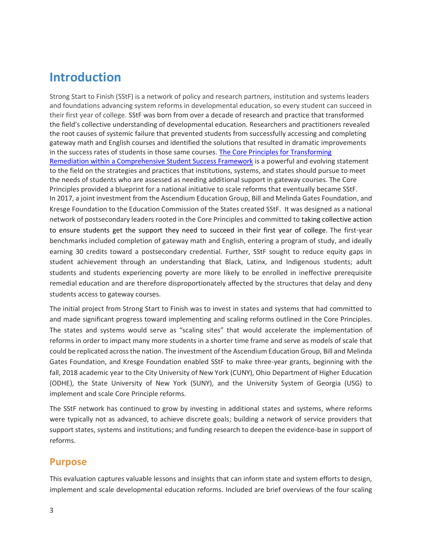# **Introduction**

Strong Start to Finish (SStF) is a network of policy and research partners, institution and systems leaders and foundations advancing system reforms in developmental education, so every student can succeed in their first year of college. SStF was born from over a decade of research and practice that transformed the field's collective understanding of developmental education. Researchers and practitioners revealed the root causes of systemic failure that prevented students from successfully accessing and completing gateway math and English courses and identified the solutions that resulted in dramatic improvements in the success rates of students in those same courses. [The Core Principles for Transforming](https://strongstart.org/what-we-do/core-principles/)  [Remediation within a Comprehensive Student Success Framework](https://strongstart.org/what-we-do/core-principles/) is a powerful and evolving statement to the field on the strategies and practices that institutions, systems, and states should pursue to meet the needs of students who are assessed as needing additional support in gateway courses. The Core Principles provided a blueprint for a national initiative to scale reforms that eventually became SStF. In 2017, a joint investment from the Ascendium Education Group, Bill and Melinda Gates Foundation, and Kresge Foundation to the Education Commission of the States created SStF. It was designed as a national network of postsecondary leaders rooted in the Core Principles and committed to taking collective action to ensure students get the support they need to succeed in their first year of college. The first-year benchmarks included completion of gateway math and English, entering a program of study, and ideally earning 30 credits toward a postsecondary credential. Further, SStF sought to reduce equity gaps in student achievement through an understanding that Black, Latinx, and Indigenous students; adult students and students experiencing poverty are more likely to be enrolled in ineffective prerequisite remedial education and are therefore disproportionately affected by the structures that delay and deny students access to gateway courses.

The initial project from Strong Start to Finish was to invest in states and systems that had committed to and made significant progress toward implementing and scaling reforms outlined in the Core Principles. The states and systems would serve as "scaling sites" that would accelerate the implementation of reforms in order to impact many more students in a shorter time frame and serve as models of scale that could be replicated across the nation. The investment of the Ascendium Education Group, Bill and Melinda Gates Foundation, and Kresge Foundation enabled SStF to make three-year grants, beginning with the fall, 2018 academic year to the City University of New York (CUNY), Ohio Department of Higher Education (ODHE), the State University of New York (SUNY), and the University System of Georgia (USG) to implement and scale Core Principle reforms.

The SStF network has continued to grow by investing in additional states and systems, where reforms were typically not as advanced, to achieve discrete goals; building a network of service providers that support states, systems and institutions; and funding research to deepen the evidence-base in support of reforms.

# **Purpose**

This evaluation captures valuable lessons and insights that can inform state and system efforts to design, implement and scale developmental education reforms. Included are brief overviews of the four scaling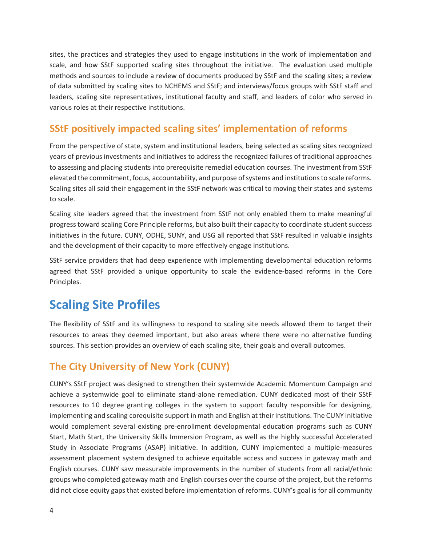sites, the practices and strategies they used to engage institutions in the work of implementation and scale, and how SStF supported scaling sites throughout the initiative. The evaluation used multiple methods and sources to include a review of documents produced by SStF and the scaling sites; a review of data submitted by scaling sites to NCHEMS and SStF; and interviews/focus groups with SStF staff and leaders, scaling site representatives, institutional faculty and staff, and leaders of color who served in various roles at their respective institutions.

# **SStF positively impacted scaling sites' implementation of reforms**

From the perspective of state, system and institutional leaders, being selected as scaling sites recognized years of previous investments and initiatives to address the recognized failures of traditional approaches to assessing and placing students into prerequisite remedial education courses. The investment from SStF elevated the commitment, focus, accountability, and purpose of systems and institutions to scale reforms. Scaling sites all said their engagement in the SStF network was critical to moving their states and systems to scale.

Scaling site leaders agreed that the investment from SStF not only enabled them to make meaningful progress toward scaling Core Principle reforms, but also built their capacity to coordinate student success initiatives in the future. CUNY, ODHE, SUNY, and USG all reported that SStF resulted in valuable insights and the development of their capacity to more effectively engage institutions.

SStF service providers that had deep experience with implementing developmental education reforms agreed that SStF provided a unique opportunity to scale the evidence-based reforms in the Core Principles.

# **Scaling Site Profiles**

The flexibility of SStF and its willingness to respond to scaling site needs allowed them to target their resources to areas they deemed important, but also areas where there were no alternative funding sources. This section provides an overview of each scaling site, their goals and overall outcomes.

# **The City University of New York (CUNY)**

CUNY's SStF project was designed to strengthen their systemwide Academic Momentum Campaign and achieve a systemwide goal to eliminate stand-alone remediation. CUNY dedicated most of their SStF resources to 10 degree granting colleges in the system to support faculty responsible for designing, implementing and scaling corequisite support in math and English at their institutions. The CUNY initiative would complement several existing pre-enrollment developmental education programs such as CUNY Start, Math Start, the University Skills Immersion Program, as well as the highly successful Accelerated Study in Associate Programs (ASAP) initiative. In addition, CUNY implemented a multiple-measures assessment placement system designed to achieve equitable access and success in gateway math and English courses. CUNY saw measurable improvements in the number of students from all racial/ethnic groups who completed gateway math and English courses over the course of the project, but the reforms did not close equity gaps that existed before implementation of reforms. CUNY's goal is for all community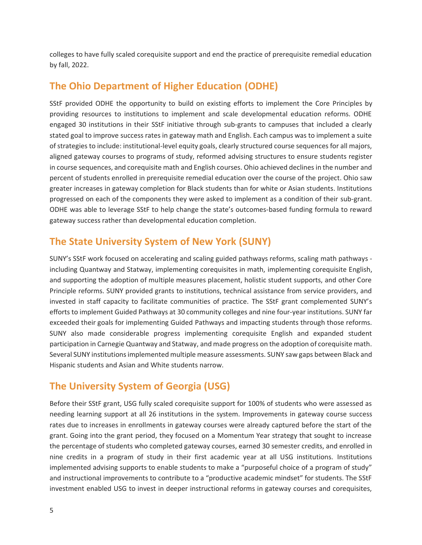colleges to have fully scaled corequisite support and end the practice of prerequisite remedial education by fall, 2022.

# **The Ohio Department of Higher Education (ODHE)**

SStF provided ODHE the opportunity to build on existing efforts to implement the Core Principles by providing resources to institutions to implement and scale developmental education reforms. ODHE engaged 30 institutions in their SStF initiative through sub-grants to campuses that included a clearly stated goal to improve success rates in gateway math and English. Each campus was to implement a suite of strategies to include: institutional-level equity goals, clearly structured course sequences for all majors, aligned gateway courses to programs of study, reformed advising structures to ensure students register in course sequences, and corequisite math and English courses. Ohio achieved declines in the number and percent of students enrolled in prerequisite remedial education over the course of the project. Ohio saw greater increases in gateway completion for Black students than for white or Asian students. Institutions progressed on each of the components they were asked to implement as a condition of their sub-grant. ODHE was able to leverage SStF to help change the state's outcomes-based funding formula to reward gateway success rather than developmental education completion.

# **The State University System of New York (SUNY)**

SUNY's SStF work focused on accelerating and scaling guided pathways reforms, scaling math pathways including Quantway and Statway, implementing corequisites in math, implementing corequisite English, and supporting the adoption of multiple measures placement, holistic student supports, and other Core Principle reforms. SUNY provided grants to institutions, technical assistance from service providers, and invested in staff capacity to facilitate communities of practice. The SStF grant complemented SUNY's efforts to implement Guided Pathways at 30 community colleges and nine four-year institutions. SUNY far exceeded their goals for implementing Guided Pathways and impacting students through those reforms. SUNY also made considerable progress implementing corequisite English and expanded student participation in Carnegie Quantway and Statway, and made progress on the adoption of corequisite math. Several SUNY institutions implemented multiple measure assessments. SUNY saw gaps between Black and Hispanic students and Asian and White students narrow.

# **The University System of Georgia (USG)**

Before their SStF grant, USG fully scaled corequisite support for 100% of students who were assessed as needing learning support at all 26 institutions in the system. Improvements in gateway course success rates due to increases in enrollments in gateway courses were already captured before the start of the grant. Going into the grant period, they focused on a Momentum Year strategy that sought to increase the percentage of students who completed gateway courses, earned 30 semester credits, and enrolled in nine credits in a program of study in their first academic year at all USG institutions. Institutions implemented advising supports to enable students to make a "purposeful choice of a program of study" and instructional improvements to contribute to a "productive academic mindset" for students. The SStF investment enabled USG to invest in deeper instructional reforms in gateway courses and corequisites,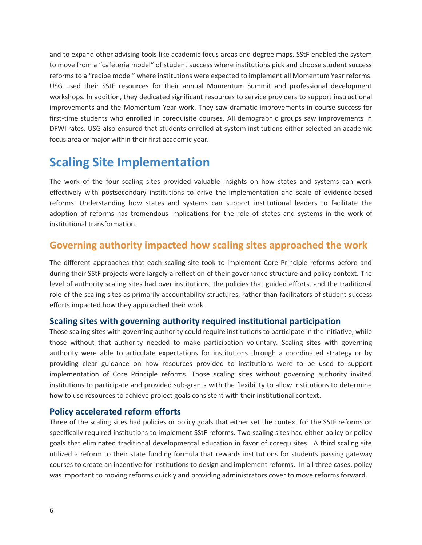and to expand other advising tools like academic focus areas and degree maps. SStF enabled the system to move from a "cafeteria model" of student success where institutions pick and choose student success reforms to a "recipe model" where institutions were expected to implement all Momentum Year reforms. USG used their SStF resources for their annual Momentum Summit and professional development workshops. In addition, they dedicated significant resources to service providers to support instructional improvements and the Momentum Year work. They saw dramatic improvements in course success for first-time students who enrolled in corequisite courses. All demographic groups saw improvements in DFWI rates. USG also ensured that students enrolled at system institutions either selected an academic focus area or major within their first academic year.

# **Scaling Site Implementation**

The work of the four scaling sites provided valuable insights on how states and systems can work effectively with postsecondary institutions to drive the implementation and scale of evidence-based reforms. Understanding how states and systems can support institutional leaders to facilitate the adoption of reforms has tremendous implications for the role of states and systems in the work of institutional transformation.

# **Governing authority impacted how scaling sites approached the work**

The different approaches that each scaling site took to implement Core Principle reforms before and during their SStF projects were largely a reflection of their governance structure and policy context. The level of authority scaling sites had over institutions, the policies that guided efforts, and the traditional role of the scaling sites as primarily accountability structures, rather than facilitators of student success efforts impacted how they approached their work.

#### **Scaling sites with governing authority required institutional participation**

Those scaling sites with governing authority could require institutions to participate in the initiative, while those without that authority needed to make participation voluntary. Scaling sites with governing authority were able to articulate expectations for institutions through a coordinated strategy or by providing clear guidance on how resources provided to institutions were to be used to support implementation of Core Principle reforms. Those scaling sites without governing authority invited institutions to participate and provided sub-grants with the flexibility to allow institutions to determine how to use resources to achieve project goals consistent with their institutional context.

#### **Policy accelerated reform efforts**

Three of the scaling sites had policies or policy goals that either set the context for the SStF reforms or specifically required institutions to implement SStF reforms. Two scaling sites had either policy or policy goals that eliminated traditional developmental education in favor of corequisites. A third scaling site utilized a reform to their state funding formula that rewards institutions for students passing gateway courses to create an incentive for institutions to design and implement reforms. In all three cases, policy was important to moving reforms quickly and providing administrators cover to move reforms forward.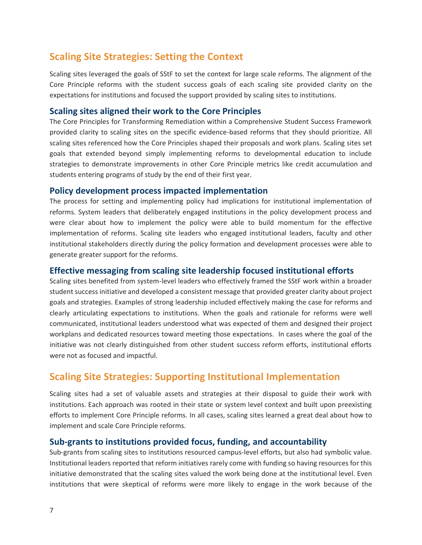# **Scaling Site Strategies: Setting the Context**

Scaling sites leveraged the goals of SStF to set the context for large scale reforms. The alignment of the Core Principle reforms with the student success goals of each scaling site provided clarity on the expectations for institutions and focused the support provided by scaling sites to institutions.

#### **Scaling sites aligned their work to the Core Principles**

The Core Principles for Transforming Remediation within a Comprehensive Student Success Framework provided clarity to scaling sites on the specific evidence-based reforms that they should prioritize. All scaling sites referenced how the Core Principles shaped their proposals and work plans. Scaling sites set goals that extended beyond simply implementing reforms to developmental education to include strategies to demonstrate improvements in other Core Principle metrics like credit accumulation and students entering programs of study by the end of their first year.

#### **Policy development process impacted implementation**

The process for setting and implementing policy had implications for institutional implementation of reforms. System leaders that deliberately engaged institutions in the policy development process and were clear about how to implement the policy were able to build momentum for the effective implementation of reforms. Scaling site leaders who engaged institutional leaders, faculty and other institutional stakeholders directly during the policy formation and development processes were able to generate greater support for the reforms.

#### **Effective messaging from scaling site leadership focused institutional efforts**

Scaling sites benefited from system-level leaders who effectively framed the SStF work within a broader student success initiative and developed a consistent message that provided greater clarity about project goals and strategies. Examples of strong leadership included effectively making the case for reforms and clearly articulating expectations to institutions. When the goals and rationale for reforms were well communicated, institutional leaders understood what was expected of them and designed their project workplans and dedicated resources toward meeting those expectations. In cases where the goal of the initiative was not clearly distinguished from other student success reform efforts, institutional efforts were not as focused and impactful.

# **Scaling Site Strategies: Supporting Institutional Implementation**

Scaling sites had a set of valuable assets and strategies at their disposal to guide their work with institutions. Each approach was rooted in their state or system level context and built upon preexisting efforts to implement Core Principle reforms. In all cases, scaling sites learned a great deal about how to implement and scale Core Principle reforms.

#### **Sub-grants to institutions provided focus, funding, and accountability**

Sub-grants from scaling sites to institutions resourced campus-level efforts, but also had symbolic value. Institutional leaders reported that reform initiatives rarely come with funding so having resources for this initiative demonstrated that the scaling sites valued the work being done at the institutional level. Even institutions that were skeptical of reforms were more likely to engage in the work because of the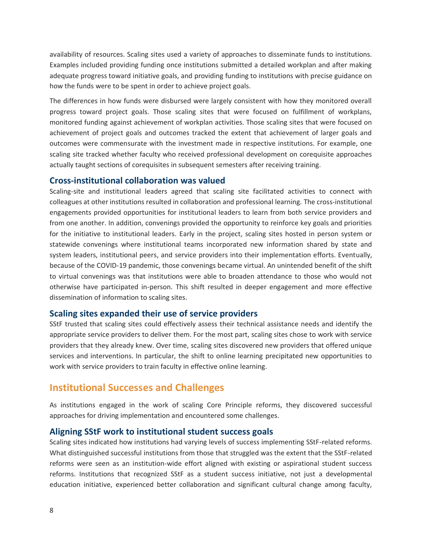availability of resources. Scaling sites used a variety of approaches to disseminate funds to institutions. Examples included providing funding once institutions submitted a detailed workplan and after making adequate progress toward initiative goals, and providing funding to institutions with precise guidance on how the funds were to be spent in order to achieve project goals.

The differences in how funds were disbursed were largely consistent with how they monitored overall progress toward project goals. Those scaling sites that were focused on fulfillment of workplans, monitored funding against achievement of workplan activities. Those scaling sites that were focused on achievement of project goals and outcomes tracked the extent that achievement of larger goals and outcomes were commensurate with the investment made in respective institutions. For example, one scaling site tracked whether faculty who received professional development on corequisite approaches actually taught sections of corequisites in subsequent semesters after receiving training.

#### **Cross-institutional collaboration was valued**

Scaling-site and institutional leaders agreed that scaling site facilitated activities to connect with colleagues at other institutions resulted in collaboration and professional learning. The cross-institutional engagements provided opportunities for institutional leaders to learn from both service providers and from one another. In addition, convenings provided the opportunity to reinforce key goals and priorities for the initiative to institutional leaders. Early in the project, scaling sites hosted in person system or statewide convenings where institutional teams incorporated new information shared by state and system leaders, institutional peers, and service providers into their implementation efforts. Eventually, because of the COVID-19 pandemic, those convenings became virtual. An unintended benefit of the shift to virtual convenings was that institutions were able to broaden attendance to those who would not otherwise have participated in-person. This shift resulted in deeper engagement and more effective dissemination of information to scaling sites.

#### **Scaling sites expanded their use of service providers**

SStF trusted that scaling sites could effectively assess their technical assistance needs and identify the appropriate service providers to deliver them. For the most part, scaling sites chose to work with service providers that they already knew. Over time, scaling sites discovered new providers that offered unique services and interventions. In particular, the shift to online learning precipitated new opportunities to work with service providers to train faculty in effective online learning.

#### **Institutional Successes and Challenges**

As institutions engaged in the work of scaling Core Principle reforms, they discovered successful approaches for driving implementation and encountered some challenges.

#### **Aligning SStF work to institutional student success goals**

Scaling sites indicated how institutions had varying levels of success implementing SStF-related reforms. What distinguished successful institutions from those that struggled was the extent that the SStF-related reforms were seen as an institution-wide effort aligned with existing or aspirational student success reforms. Institutions that recognized SStF as a student success initiative, not just a developmental education initiative, experienced better collaboration and significant cultural change among faculty,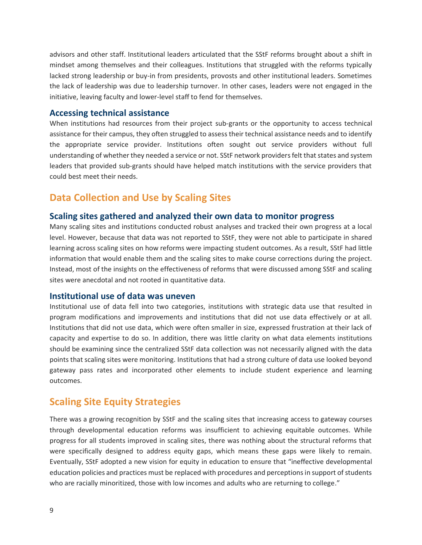advisors and other staff. Institutional leaders articulated that the SStF reforms brought about a shift in mindset among themselves and their colleagues. Institutions that struggled with the reforms typically lacked strong leadership or buy-in from presidents, provosts and other institutional leaders. Sometimes the lack of leadership was due to leadership turnover. In other cases, leaders were not engaged in the initiative, leaving faculty and lower-level staff to fend for themselves.

#### **Accessing technical assistance**

When institutions had resources from their project sub-grants or the opportunity to access technical assistance for their campus, they often struggled to assess their technical assistance needs and to identify the appropriate service provider. Institutions often sought out service providers without full understanding of whether they needed a service or not. SStF network providers felt that states and system leaders that provided sub-grants should have helped match institutions with the service providers that could best meet their needs.

# **Data Collection and Use by Scaling Sites**

#### **Scaling sites gathered and analyzed their own data to monitor progress**

Many scaling sites and institutions conducted robust analyses and tracked their own progress at a local level. However, because that data was not reported to SStF, they were not able to participate in shared learning across scaling sites on how reforms were impacting student outcomes. As a result, SStF had little information that would enable them and the scaling sites to make course corrections during the project. Instead, most of the insights on the effectiveness of reforms that were discussed among SStF and scaling sites were anecdotal and not rooted in quantitative data.

#### **Institutional use of data was uneven**

Institutional use of data fell into two categories, institutions with strategic data use that resulted in program modifications and improvements and institutions that did not use data effectively or at all. Institutions that did not use data, which were often smaller in size, expressed frustration at their lack of capacity and expertise to do so. In addition, there was little clarity on what data elements institutions should be examining since the centralized SStF data collection was not necessarily aligned with the data points that scaling sites were monitoring. Institutions that had a strong culture of data use looked beyond gateway pass rates and incorporated other elements to include student experience and learning outcomes.

### **Scaling Site Equity Strategies**

There was a growing recognition by SStF and the scaling sites that increasing access to gateway courses through developmental education reforms was insufficient to achieving equitable outcomes. While progress for all students improved in scaling sites, there was nothing about the structural reforms that were specifically designed to address equity gaps, which means these gaps were likely to remain. Eventually, SStF adopted a new vision for equity in education to ensure that "ineffective developmental education policies and practices must be replaced with procedures and perceptions in support of students who are racially minoritized, those with low incomes and adults who are returning to college."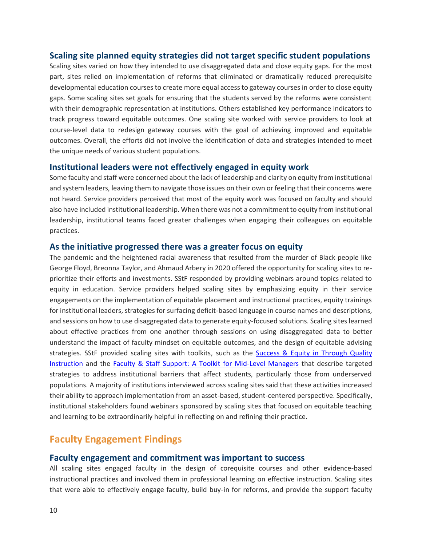#### **Scaling site planned equity strategies did not target specific student populations**

Scaling sites varied on how they intended to use disaggregated data and close equity gaps. For the most part, sites relied on implementation of reforms that eliminated or dramatically reduced prerequisite developmental education courses to create more equal access to gateway courses in order to close equity gaps. Some scaling sites set goals for ensuring that the students served by the reforms were consistent with their demographic representation at institutions. Others established key performance indicators to track progress toward equitable outcomes. One scaling site worked with service providers to look at course-level data to redesign gateway courses with the goal of achieving improved and equitable outcomes. Overall, the efforts did not involve the identification of data and strategies intended to meet the unique needs of various student populations.

#### **Institutional leaders were not effectively engaged in equity work**

Some faculty and staff were concerned about the lack of leadership and clarity on equity from institutional and system leaders, leaving them to navigate those issues on their own or feeling that their concerns were not heard. Service providers perceived that most of the equity work was focused on faculty and should also have included institutional leadership. When there was not a commitment to equity from institutional leadership, institutional teams faced greater challenges when engaging their colleagues on equitable practices.

#### **As the initiative progressed there was a greater focus on equity**

The pandemic and the heightened racial awareness that resulted from the murder of Black people like George Floyd, Breonna Taylor, and Ahmaud Arbery in 2020 offered the opportunity for scaling sites to reprioritize their efforts and investments. SStF responded by providing webinars around topics related to equity in education. Service providers helped scaling sites by emphasizing equity in their service engagements on the implementation of equitable placement and instructional practices, equity trainings for institutional leaders, strategies for surfacing deficit-based language in course names and descriptions, and sessions on how to use disaggregated data to generate equity-focused solutions. Scaling sites learned about effective practices from one another through sessions on using disaggregated data to better understand the impact of faculty mindset on equitable outcomes, and the design of equitable advising strategies. SStF provided scaling sites with toolkits, such as the Success & Equity in Through Quality [Instruction](https://strongstart.org/resource/success-equity-through-quality-instruction-bringing-faculty-into-the-student-success-movement/) and the [Faculty & Staff Support: A Toolkit for Mid-Level Managers](https://strongstart.org/resource/faculty-staff-support-a-toolkit-for-mid-level-managers/) that describe targeted strategies to address institutional barriers that affect students, particularly those from underserved populations. A majority of institutions interviewed across scaling sites said that these activities increased their ability to approach implementation from an asset-based, student-centered perspective. Specifically, institutional stakeholders found webinars sponsored by scaling sites that focused on equitable teaching and learning to be extraordinarily helpful in reflecting on and refining their practice.

# **Faculty Engagement Findings**

#### **Faculty engagement and commitment was important to success**

All scaling sites engaged faculty in the design of corequisite courses and other evidence-based instructional practices and involved them in professional learning on effective instruction. Scaling sites that were able to effectively engage faculty, build buy-in for reforms, and provide the support faculty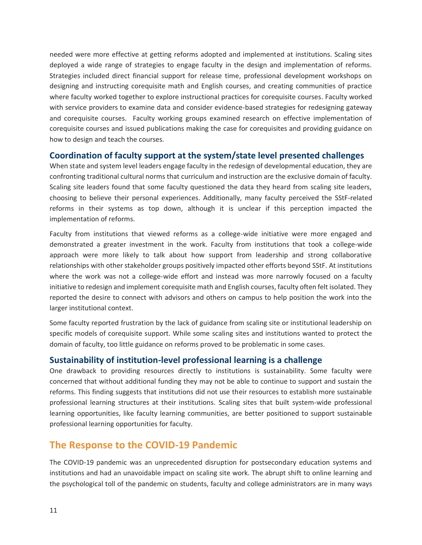needed were more effective at getting reforms adopted and implemented at institutions. Scaling sites deployed a wide range of strategies to engage faculty in the design and implementation of reforms. Strategies included direct financial support for release time, professional development workshops on designing and instructing corequisite math and English courses, and creating communities of practice where faculty worked together to explore instructional practices for corequisite courses. Faculty worked with service providers to examine data and consider evidence-based strategies for redesigning gateway and corequisite courses. Faculty working groups examined research on effective implementation of corequisite courses and issued publications making the case for corequisites and providing guidance on how to design and teach the courses.

#### **Coordination of faculty support at the system/state level presented challenges**

When state and system level leaders engage faculty in the redesign of developmental education, they are confronting traditional cultural norms that curriculum and instruction are the exclusive domain of faculty. Scaling site leaders found that some faculty questioned the data they heard from scaling site leaders, choosing to believe their personal experiences. Additionally, many faculty perceived the SStF-related reforms in their systems as top down, although it is unclear if this perception impacted the implementation of reforms.

Faculty from institutions that viewed reforms as a college-wide initiative were more engaged and demonstrated a greater investment in the work. Faculty from institutions that took a college-wide approach were more likely to talk about how support from leadership and strong collaborative relationships with other stakeholder groups positively impacted other efforts beyond SStF. At institutions where the work was not a college-wide effort and instead was more narrowly focused on a faculty initiative to redesign and implement corequisite math and English courses, faculty often felt isolated. They reported the desire to connect with advisors and others on campus to help position the work into the larger institutional context.

Some faculty reported frustration by the lack of guidance from scaling site or institutional leadership on specific models of corequisite support. While some scaling sites and institutions wanted to protect the domain of faculty, too little guidance on reforms proved to be problematic in some cases.

#### **Sustainability of institution-level professional learning is a challenge**

One drawback to providing resources directly to institutions is sustainability. Some faculty were concerned that without additional funding they may not be able to continue to support and sustain the reforms. This finding suggests that institutions did not use their resources to establish more sustainable professional learning structures at their institutions. Scaling sites that built system-wide professional learning opportunities, like faculty learning communities, are better positioned to support sustainable professional learning opportunities for faculty.

# **The Response to the COVID-19 Pandemic**

The COVID-19 pandemic was an unprecedented disruption for postsecondary education systems and institutions and had an unavoidable impact on scaling site work. The abrupt shift to online learning and the psychological toll of the pandemic on students, faculty and college administrators are in many ways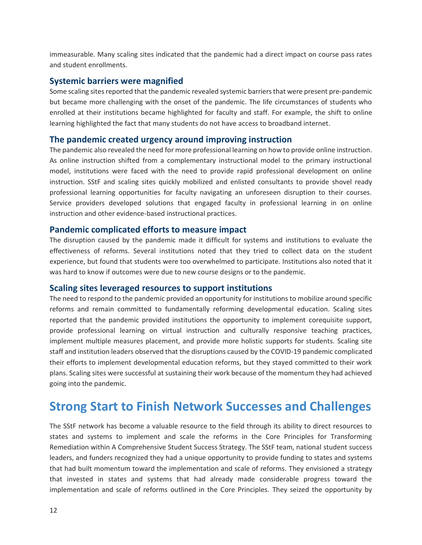immeasurable. Many scaling sites indicated that the pandemic had a direct impact on course pass rates and student enrollments.

#### **Systemic barriers were magnified**

Some scaling sites reported that the pandemic revealed systemic barriers that were present pre-pandemic but became more challenging with the onset of the pandemic. The life circumstances of students who enrolled at their institutions became highlighted for faculty and staff. For example, the shift to online learning highlighted the fact that many students do not have access to broadband internet.

#### **The pandemic created urgency around improving instruction**

The pandemic also revealed the need for more professional learning on how to provide online instruction. As online instruction shifted from a complementary instructional model to the primary instructional model, institutions were faced with the need to provide rapid professional development on online instruction. SStF and scaling sites quickly mobilized and enlisted consultants to provide shovel ready professional learning opportunities for faculty navigating an unforeseen disruption to their courses. Service providers developed solutions that engaged faculty in professional learning in on online instruction and other evidence-based instructional practices.

#### **Pandemic complicated efforts to measure impact**

The disruption caused by the pandemic made it difficult for systems and institutions to evaluate the effectiveness of reforms. Several institutions noted that they tried to collect data on the student experience, but found that students were too overwhelmed to participate. Institutions also noted that it was hard to know if outcomes were due to new course designs or to the pandemic.

#### **Scaling sites leveraged resources to support institutions**

The need to respond to the pandemic provided an opportunity for institutions to mobilize around specific reforms and remain committed to fundamentally reforming developmental education. Scaling sites reported that the pandemic provided institutions the opportunity to implement corequisite support, provide professional learning on virtual instruction and culturally responsive teaching practices, implement multiple measures placement, and provide more holistic supports for students. Scaling site staff and institution leaders observed that the disruptions caused by the COVID-19 pandemic complicated their efforts to implement developmental education reforms, but they stayed committed to their work plans. Scaling sites were successful at sustaining their work because of the momentum they had achieved going into the pandemic.

# **Strong Start to Finish Network Successes and Challenges**

The SStF network has become a valuable resource to the field through its ability to direct resources to states and systems to implement and scale the reforms in the Core Principles for Transforming Remediation within A Comprehensive Student Success Strategy. The SStF team, national student success leaders, and funders recognized they had a unique opportunity to provide funding to states and systems that had built momentum toward the implementation and scale of reforms. They envisioned a strategy that invested in states and systems that had already made considerable progress toward the implementation and scale of reforms outlined in the Core Principles. They seized the opportunity by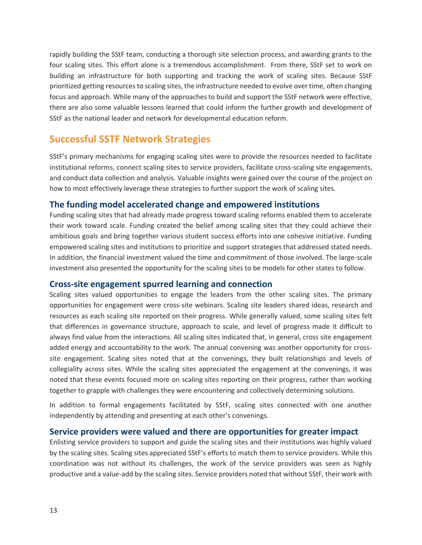rapidly building the SStF team, conducting a thorough site selection process, and awarding grants to the four scaling sites. This effort alone is a tremendous accomplishment. From there, SStF set to work on building an infrastructure for both supporting and tracking the work of scaling sites. Because SStF prioritized getting resources to scaling sites, the infrastructure needed to evolve over time, often changing focus and approach. While many of the approaches to build and support the SStF network were effective, there are also some valuable lessons learned that could inform the further growth and development of SStF as the national leader and network for developmental education reform.

# **Successful SSTF Network Strategies**

SStF's primary mechanisms for engaging scaling sites were to provide the resources needed to facilitate institutional reforms, connect scaling sites to service providers, facilitate cross-scaling site engagements, and conduct data collection and analysis. Valuable insights were gained over the course of the project on how to most effectively leverage these strategies to further support the work of scaling sites.

#### **The funding model accelerated change and empowered institutions**

Funding scaling sites that had already made progress toward scaling reforms enabled them to accelerate their work toward scale. Funding created the belief among scaling sites that they could achieve their ambitious goals and bring together various student success efforts into one cohesive initiative. Funding empowered scaling sites and institutions to prioritize and support strategies that addressed stated needs. In addition, the financial investment valued the time and commitment of those involved. The large-scale investment also presented the opportunity for the scaling sites to be models for other states to follow.

#### **Cross-site engagement spurred learning and connection**

Scaling sites valued opportunities to engage the leaders from the other scaling sites. The primary opportunities for engagement were cross-site webinars. Scaling site leaders shared ideas, research and resources as each scaling site reported on their progress. While generally valued, some scaling sites felt that differences in governance structure, approach to scale, and level of progress made it difficult to always find value from the interactions. All scaling sites indicated that, in general, cross site engagement added energy and accountability to the work. The annual convening was another opportunity for crosssite engagement. Scaling sites noted that at the convenings, they built relationships and levels of collegiality across sites. While the scaling sites appreciated the engagement at the convenings, it was noted that these events focused more on scaling sites reporting on their progress, rather than working together to grapple with challenges they were encountering and collectively determining solutions.

In addition to formal engagements facilitated by SStF, scaling sites connected with one another independently by attending and presenting at each other's convenings.

#### **Service providers were valued and there are opportunities for greater impact**

Enlisting service providers to support and guide the scaling sites and their institutions was highly valued by the scaling sites. Scaling sites appreciated SStF's efforts to match them to service providers. While this coordination was not without its challenges, the work of the service providers was seen as highly productive and a value-add by the scaling sites. Service providers noted that without SStF, their work with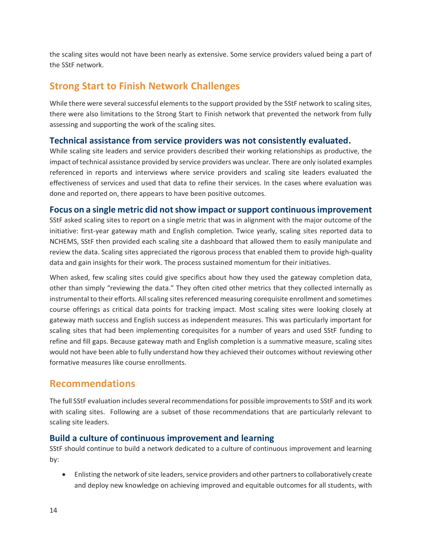the scaling sites would not have been nearly as extensive. Some service providers valued being a part of the SStF network.

# **Strong Start to Finish Network Challenges**

While there were several successful elements to the support provided by the SStF network to scaling sites, there were also limitations to the Strong Start to Finish network that prevented the network from fully assessing and supporting the work of the scaling sites.

#### **Technical assistance from service providers was not consistently evaluated.**

While scaling site leaders and service providers described their working relationships as productive, the impact of technical assistance provided by service providers was unclear. There are only isolated examples referenced in reports and interviews where service providers and scaling site leaders evaluated the effectiveness of services and used that data to refine their services. In the cases where evaluation was done and reported on, there appears to have been positive outcomes.

#### **Focus on a single metric did not show impact or support continuous improvement**

SStF asked scaling sites to report on a single metric that was in alignment with the major outcome of the initiative: first-year gateway math and English completion. Twice yearly, scaling sites reported data to NCHEMS, SStF then provided each scaling site a dashboard that allowed them to easily manipulate and review the data. Scaling sites appreciated the rigorous process that enabled them to provide high-quality data and gain insights for their work. The process sustained momentum for their initiatives.

When asked, few scaling sites could give specifics about how they used the gateway completion data, other than simply "reviewing the data." They often cited other metrics that they collected internally as instrumental to their efforts. All scaling sites referenced measuring corequisite enrollment and sometimes course offerings as critical data points for tracking impact. Most scaling sites were looking closely at gateway math success and English success as independent measures. This was particularly important for scaling sites that had been implementing corequisites for a number of years and used SStF funding to refine and fill gaps. Because gateway math and English completion is a summative measure, scaling sites would not have been able to fully understand how they achieved their outcomes without reviewing other formative measures like course enrollments.

# **Recommendations**

The full SStF evaluation includes several recommendations for possible improvements to SStF and its work with scaling sites. Following are a subset of those recommendations that are particularly relevant to scaling site leaders.

#### **Build a culture of continuous improvement and learning**

SStF should continue to build a network dedicated to a culture of continuous improvement and learning by:

• Enlisting the network of site leaders, service providers and other partners to collaboratively create and deploy new knowledge on achieving improved and equitable outcomes for all students, with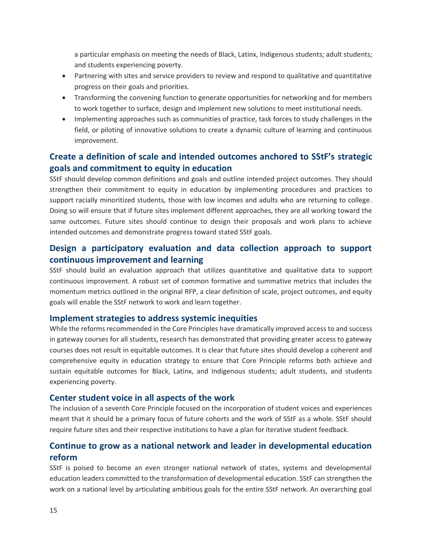a particular emphasis on meeting the needs of Black, Latinx, Indigenous students; adult students; and students experiencing poverty.

- Partnering with sites and service providers to review and respond to qualitative and quantitative progress on their goals and priorities.
- Transforming the convening function to generate opportunities for networking and for members to work together to surface, design and implement new solutions to meet institutional needs.
- Implementing approaches such as communities of practice, task forces to study challenges in the field, or piloting of innovative solutions to create a dynamic culture of learning and continuous improvement.

### **Create a definition of scale and intended outcomes anchored to SStF's strategic goals and commitment to equity in education**

SStF should develop common definitions and goals and outline intended project outcomes. They should strengthen their commitment to equity in education by implementing procedures and practices to support racially minoritized students, those with low incomes and adults who are returning to college. Doing so will ensure that if future sites implement different approaches, they are all working toward the same outcomes. Future sites should continue to design their proposals and work plans to achieve intended outcomes and demonstrate progress toward stated SStF goals.

### **Design a participatory evaluation and data collection approach to support continuous improvement and learning**

SStF should build an evaluation approach that utilizes quantitative and qualitative data to support continuous improvement. A robust set of common formative and summative metrics that includes the momentum metrics outlined in the original RFP, a clear definition of scale, project outcomes, and equity goals will enable the SStF network to work and learn together.

#### **Implement strategies to address systemic inequities**

While the reforms recommended in the Core Principles have dramatically improved access to and success in gateway courses for all students, research has demonstrated that providing greater access to gateway courses does not result in equitable outcomes. It is clear that future sites should develop a coherent and comprehensive equity in education strategy to ensure that Core Principle reforms both achieve and sustain equitable outcomes for Black, Latinx, and Indigenous students; adult students, and students experiencing poverty.

#### **Center student voice in all aspects of the work**

The inclusion of a seventh Core Principle focused on the incorporation of student voices and experiences meant that it should be a primary focus of future cohorts and the work of SStF as a whole. SStF should require future sites and their respective institutions to have a plan for iterative student feedback.

### **Continue to grow as a national network and leader in developmental education reform**

SStF is poised to become an even stronger national network of states, systems and developmental education leaders committed to the transformation of developmental education. SStF can strengthen the work on a national level by articulating ambitious goals for the entire SStF network. An overarching goal